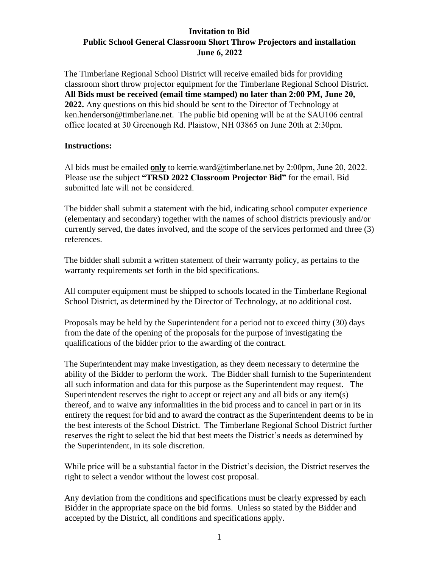## **Invitation to Bid Public School General Classroom Short Throw Projectors and installation June 6, 2022**

The Timberlane Regional School District will receive emailed bids for providing classroom short throw projector equipment for the Timberlane Regional School District. **All Bids must be received (email time stamped) no later than 2:00 PM, June 20, 2022.** Any questions on this bid should be sent to the Director of Technology at ken.henderson@timberlane.net. The public bid opening will be at the SAU106 central office located at 30 Greenough Rd. Plaistow, NH 03865 on June 20th at 2:30pm.

#### **Instructions:**

Al bids must be emailed only to kerrie.ward@timberlane.net by 2:00pm, June 20, 2022. [Please use the subject](mailto:Nancy.pierce@sau55.net) **"TRSD 2022 Classroom Projector Bid"** for the email. Bid submitted late will not be considered.

The bidder shall submit a statement with the bid, indicating school computer experience (elementary and secondary) together with the names of school districts previously and/or currently served, the dates involved, and the scope of the services performed and three (3) references.

The bidder shall submit a written statement of their warranty policy, as pertains to the warranty requirements set forth in the bid specifications.

All computer equipment must be shipped to schools located in the Timberlane Regional School District, as determined by the Director of Technology, at no additional cost.

Proposals may be held by the Superintendent for a period not to exceed thirty (30) days from the date of the opening of the proposals for the purpose of investigating the qualifications of the bidder prior to the awarding of the contract.

The Superintendent may make investigation, as they deem necessary to determine the ability of the Bidder to perform the work. The Bidder shall furnish to the Superintendent all such information and data for this purpose as the Superintendent may request. The Superintendent reserves the right to accept or reject any and all bids or any item(s) thereof, and to waive any informalities in the bid process and to cancel in part or in its entirety the request for bid and to award the contract as the Superintendent deems to be in the best interests of the School District. The Timberlane Regional School District further reserves the right to select the bid that best meets the District's needs as determined by the Superintendent, in its sole discretion.

While price will be a substantial factor in the District's decision, the District reserves the right to select a vendor without the lowest cost proposal.

Any deviation from the conditions and specifications must be clearly expressed by each Bidder in the appropriate space on the bid forms. Unless so stated by the Bidder and accepted by the District, all conditions and specifications apply.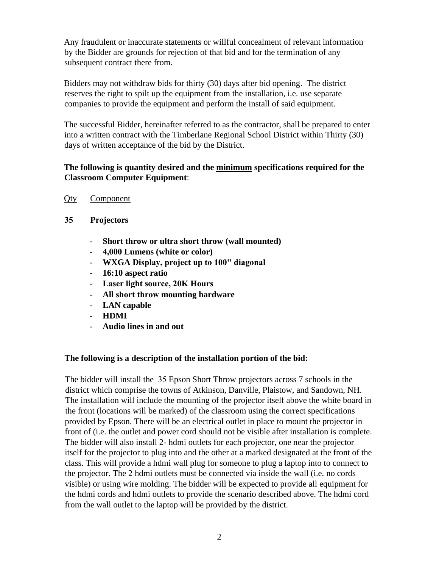Any fraudulent or inaccurate statements or willful concealment of relevant information by the Bidder are grounds for rejection of that bid and for the termination of any subsequent contract there from.

Bidders may not withdraw bids for thirty (30) days after bid opening. The district reserves the right to spilt up the equipment from the installation, i.e. use separate companies to provide the equipment and perform the install of said equipment.

The successful Bidder, hereinafter referred to as the contractor, shall be prepared to enter into a written contract with the Timberlane Regional School District within Thirty (30) days of written acceptance of the bid by the District.

## **The following is quantity desired and the minimum specifications required for the Classroom Computer Equipment**:

- Qty Component
- **35 Projectors** 
	- **Short throw or ultra short throw (wall mounted)**
	- **4,000 Lumens (white or color)**
	- **WXGA Display, project up to 100" diagonal**
	- **16:10 aspect ratio**
	- **Laser light source, 20K Hours**
	- **All short throw mounting hardware**
	- **LAN capable**
	- **HDMI**
	- **Audio lines in and out**

## **The following is a description of the installation portion of the bid:**

The bidder will install the 35 Epson Short Throw projectors across 7 schools in the district which comprise the towns of Atkinson, Danville, Plaistow, and Sandown, NH. The installation will include the mounting of the projector itself above the white board in the front (locations will be marked) of the classroom using the correct specifications provided by Epson. There will be an electrical outlet in place to mount the projector in front of (i.e. the outlet and power cord should not be visible after installation is complete. The bidder will also install 2- hdmi outlets for each projector, one near the projector itself for the projector to plug into and the other at a marked designated at the front of the class. This will provide a hdmi wall plug for someone to plug a laptop into to connect to the projector. The 2 hdmi outlets must be connected via inside the wall (i.e. no cords visible) or using wire molding. The bidder will be expected to provide all equipment for the hdmi cords and hdmi outlets to provide the scenario described above. The hdmi cord from the wall outlet to the laptop will be provided by the district.